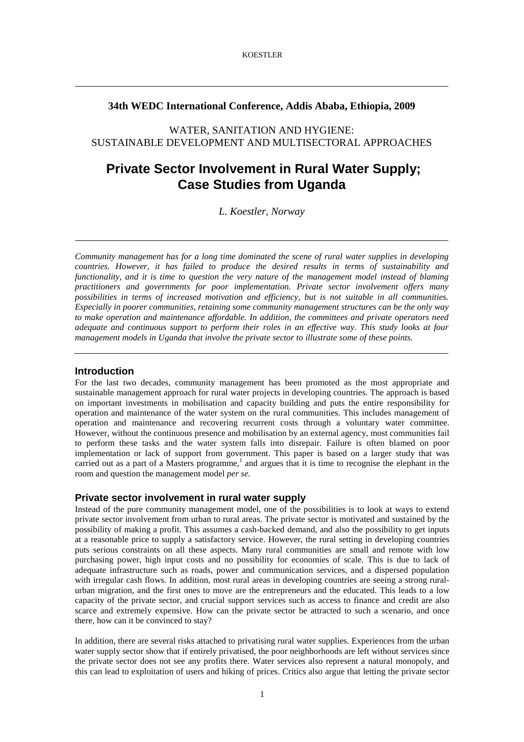## **34th WEDC International Conference, Addis Ababa, Ethiopia, 2009**

WATER, SANITATION AND HYGIENE: SUSTAINABLE DEVELOPMENT AND MULTISECTORAL APPROACHES

# **Private Sector Involvement in Rural Water Supply; Case Studies from Uganda**

*L. Koestler, Norway* 

*Community management has for a long time dominated the scene of rural water supplies in developing countries. However, it has failed to produce the desired results in terms of sustainability and functionality, and it is time to question the very nature of the management model instead of blaming practitioners and governments for poor implementation. Private sector involvement offers many possibilities in terms of increased motivation and efficiency, but is not suitable in all communities. Especially in poorer communities, retaining some community management structures can be the only way to make operation and maintenance affordable. In addition, the committees and private operators need adequate and continuous support to perform their roles in an effective way. This study looks at four management models in Uganda that involve the private sector to illustrate some of these points.*

## **Introduction**

For the last two decades, community management has been promoted as the most appropriate and sustainable management approach for rural water projects in developing countries. The approach is based on important investments in mobilisation and capacity building and puts the entire responsibility for operation and maintenance of the water system on the rural communities. This includes management of operation and maintenance and recovering recurrent costs through a voluntary water committee. However, without the continuous presence and mobilisation by an external agency, most communities fail to perform these tasks and the water system falls into disrepair. Failure is often blamed on poor implementation or lack of support from government. This paper is based on a larger study that was carried out as a part of a Masters programme,<sup>1</sup> and argues that it is time to recognise the elephant in the room and question the management model *per se.*

## **Private sector involvement in rural water supply**

Instead of the pure community management model, one of the possibilities is to look at ways to extend private sector involvement from urban to rural areas. The private sector is motivated and sustained by the possibility of making a profit. This assumes a cash-backed demand, and also the possibility to get inputs at a reasonable price to supply a satisfactory service. However, the rural setting in developing countries puts serious constraints on all these aspects. Many rural communities are small and remote with low purchasing power, high input costs and no possibility for economies of scale. This is due to lack of adequate infrastructure such as roads, power and communication services, and a dispersed population with irregular cash flows. In addition, most rural areas in developing countries are seeing a strong ruralurban migration, and the first ones to move are the entrepreneurs and the educated. This leads to a low capacity of the private sector, and crucial support services such as access to finance and credit are also scarce and extremely expensive. How can the private sector be attracted to such a scenario, and once there, how can it be convinced to stay?

In addition, there are several risks attached to privatising rural water supplies. Experiences from the urban water supply sector show that if entirely privatised, the poor neighborhoods are left without services since the private sector does not see any profits there. Water services also represent a natural monopoly, and this can lead to exploitation of users and hiking of prices. Critics also argue that letting the private sector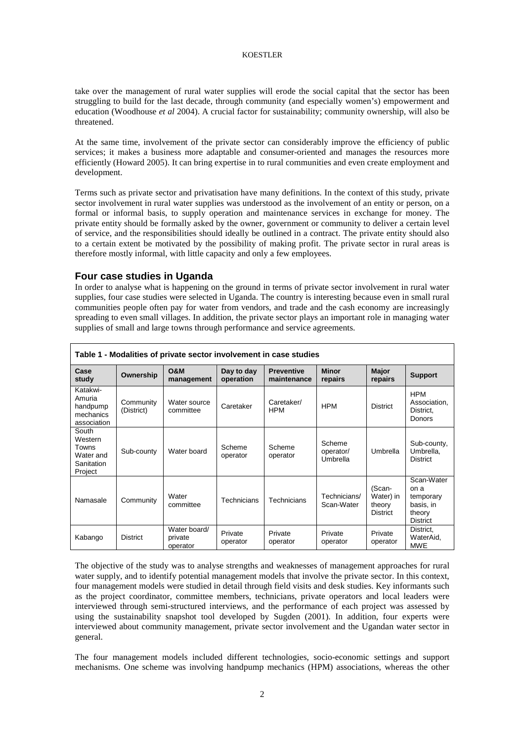#### KOESTLER

take over the management of rural water supplies will erode the social capital that the sector has been struggling to build for the last decade, through community (and especially women's) empowerment and education (Woodhouse *et al* 2004). A crucial factor for sustainability; community ownership, will also be threatened.

At the same time, involvement of the private sector can considerably improve the efficiency of public services; it makes a business more adaptable and consumer-oriented and manages the resources more efficiently (Howard 2005). It can bring expertise in to rural communities and even create employment and development.

Terms such as private sector and privatisation have many definitions. In the context of this study, private sector involvement in rural water supplies was understood as the involvement of an entity or person, on a formal or informal basis, to supply operation and maintenance services in exchange for money. The private entity should be formally asked by the owner, government or community to deliver a certain level of service, and the responsibilities should ideally be outlined in a contract. The private entity should also to a certain extent be motivated by the possibility of making profit. The private sector in rural areas is therefore mostly informal, with little capacity and only a few employees.

## **Four case studies in Uganda**

In order to analyse what is happening on the ground in terms of private sector involvement in rural water supplies, four case studies were selected in Uganda. The country is interesting because even in small rural communities people often pay for water from vendors, and trade and the cash economy are increasingly spreading to even small villages. In addition, the private sector plays an important role in managing water supplies of small and large towns through performance and service agreements.

| Table 1 - Modalities of private sector involvement in case studies |                         |                                     |                         |                                  |                                 |                                           |                                                                           |
|--------------------------------------------------------------------|-------------------------|-------------------------------------|-------------------------|----------------------------------|---------------------------------|-------------------------------------------|---------------------------------------------------------------------------|
| Case<br>study                                                      | Ownership               | <b>O&amp;M</b><br>management        | Day to day<br>operation | <b>Preventive</b><br>maintenance | <b>Minor</b><br>repairs         | Major<br>repairs                          | <b>Support</b>                                                            |
| Katakwi-<br>Amuria<br>handpump<br>mechanics<br>association         | Community<br>(District) | Water source<br>committee           | Caretaker               | Caretaker/<br><b>HPM</b>         | <b>HPM</b>                      | <b>District</b>                           | <b>HPM</b><br>Association.<br>District.<br>Donors                         |
| South<br>Western<br>Towns<br>Water and<br>Sanitation<br>Project    | Sub-county              | Water board                         | Scheme<br>operator      | Scheme<br>operator               | Scheme<br>operator/<br>Umbrella | Umbrella                                  | Sub-county,<br>Umbrella,<br><b>District</b>                               |
| Namasale                                                           | Community               | Water<br>committee                  | Technicians             | Technicians                      | Technicians/<br>Scan-Water      | (Scan-<br>Water) in<br>theory<br>District | Scan-Water<br>on a<br>temporary<br>basis, in<br>theory<br><b>District</b> |
| Kabango                                                            | <b>District</b>         | Water board/<br>private<br>operator | Private<br>operator     | Private<br>operator              | Private<br>operator             | Private<br>operator                       | District.<br>WaterAid.<br><b>MWE</b>                                      |

The objective of the study was to analyse strengths and weaknesses of management approaches for rural water supply, and to identify potential management models that involve the private sector. In this context, four management models were studied in detail through field visits and desk studies. Key informants such as the project coordinator, committee members, technicians, private operators and local leaders were interviewed through semi-structured interviews, and the performance of each project was assessed by using the sustainability snapshot tool developed by Sugden (2001). In addition, four experts were interviewed about community management, private sector involvement and the Ugandan water sector in general.

The four management models included different technologies, socio-economic settings and support mechanisms. One scheme was involving handpump mechanics (HPM) associations, whereas the other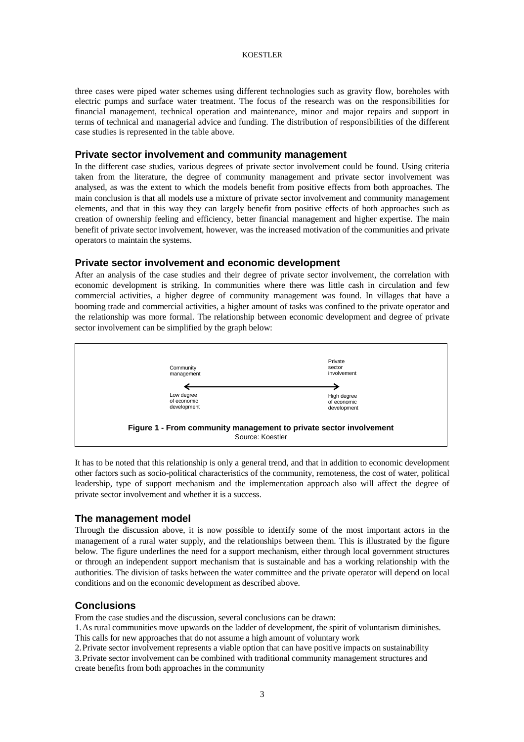#### KOESTLER

three cases were piped water schemes using different technologies such as gravity flow, boreholes with electric pumps and surface water treatment. The focus of the research was on the responsibilities for financial management, technical operation and maintenance, minor and major repairs and support in terms of technical and managerial advice and funding. The distribution of responsibilities of the different case studies is represented in the table above.

## **Private sector involvement and community management**

In the different case studies, various degrees of private sector involvement could be found. Using criteria taken from the literature, the degree of community management and private sector involvement was analysed, as was the extent to which the models benefit from positive effects from both approaches. The main conclusion is that all models use a mixture of private sector involvement and community management elements, and that in this way they can largely benefit from positive effects of both approaches such as creation of ownership feeling and efficiency, better financial management and higher expertise. The main benefit of private sector involvement, however, was the increased motivation of the communities and private operators to maintain the systems.

#### **Private sector involvement and economic development**

After an analysis of the case studies and their degree of private sector involvement, the correlation with economic development is striking. In communities where there was little cash in circulation and few commercial activities, a higher degree of community management was found. In villages that have a booming trade and commercial activities, a higher amount of tasks was confined to the private operator and the relationship was more formal. The relationship between economic development and degree of private sector involvement can be simplified by the graph below:



It has to be noted that this relationship is only a general trend, and that in addition to economic development other factors such as socio-political characteristics of the community, remoteness, the cost of water, political leadership, type of support mechanism and the implementation approach also will affect the degree of private sector involvement and whether it is a success.

#### **The management model**

Through the discussion above, it is now possible to identify some of the most important actors in the management of a rural water supply, and the relationships between them. This is illustrated by the figure below. The figure underlines the need for a support mechanism, either through local government structures or through an independent support mechanism that is sustainable and has a working relationship with the authorities. The division of tasks between the water committee and the private operator will depend on local conditions and on the economic development as described above.

### **Conclusions**

From the case studies and the discussion, several conclusions can be drawn:

1.As rural communities move upwards on the ladder of development, the spirit of voluntarism diminishes. This calls for new approaches that do not assume a high amount of voluntary work

2.Private sector involvement represents a viable option that can have positive impacts on sustainability

3.Private sector involvement can be combined with traditional community management structures and create benefits from both approaches in the community